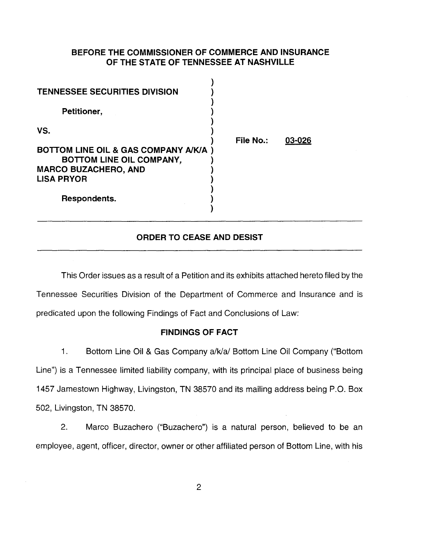## **BEFORE THE COMMISSIONER OF COMMERCE AND INSURANCE OF THE STATE OF TENNESSEE AT NASHVILLE**

 $\lambda$ 

| <b>TENNESSEE SECURITIES DIVISION</b>                             |                  |        |
|------------------------------------------------------------------|------------------|--------|
| Petitioner,                                                      |                  |        |
| VS.                                                              | <b>File No.:</b> | 03-026 |
| BOTTOM LINE OIL & GAS COMPANY A/K/A)<br>BOTTOM LINE OIL COMPANY, |                  |        |
| <b>MARCO BUZACHERO, AND</b>                                      |                  |        |
| <b>LISA PRYOR</b>                                                |                  |        |
| Respondents.                                                     |                  |        |

## **ORDER TO CEASE AND DESIST**

This Order issues as a result of a Petition and its exhibits attached hereto filed by the Tennessee Securities Division of the Department of Commerce and Insurance and is predicated upon the following Findings of Fact and Conclusions of Law:

### **FINDINGS OF FACT**

1. Bottom Line Oil & Gas Company a/k/a/ Bottom Line Oil Company ("Bottom Line") is a Tennessee limited liability company, with its principal place of business being 1457 Jamestown Highway, Livingston, TN 38570 and its mailing address being P.O. Box 502, Livingston, TN 38570.

2. Marco Buzachero ("Buzachero") is a natural person, believed to be an employee, agent, officer, director, owner or other affiliated person of Bottom Line, with his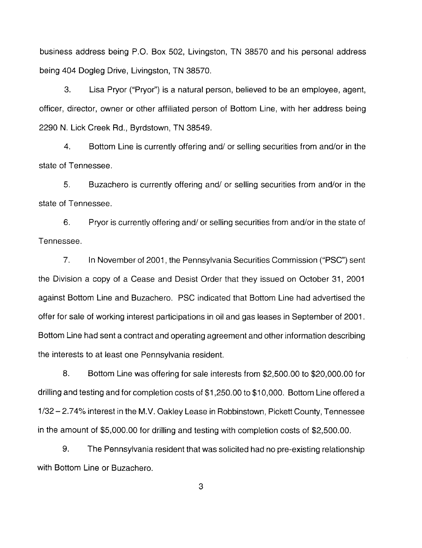business address being P.O. Box 502, Livingston, TN 38570 and his personal address being 404 Dogleg Drive, Livingston, TN 38570.

3. Lisa Pryor ("Pryor") is a natural person, believed to be an employee, agent, officer, director, owner or other affiliated person of Bottom Line, with her address being 2290 N. Lick Creek Rd., Byrdstown, TN 38549.

4. Bottom Line is currently offering and/ or selling securities from and/or in the state of Tennessee.

5. Buzachero is currently offering and/ or selling securities from and/or in the state of Tennessee.

6. Pryor is currently offering and/ or selling securities from and/or in the state of Tennessee.

7. In November of 2001, the Pennsylvania Securities Commission ("PSG") sent the Division a copy of a Cease and Desist Order that they issued on October 31, 2001 against Bottom Line and Buzachero. PSG indicated that Bottom Line had advertised the offer for sale of working interest participations in oil and gas leases in September of 2001. Bottom Line had sent a contract and operating agreement and other information describing the interests to at least one Pennsylvania resident.

8. Bottom Line was offering for sale interests from \$2,500.00 to \$20,000.00 for drilling and testing and for completion costs of \$1,250.00 to \$10,000. Bottom Line offered a 1/32-2.74% interest in the M.V. Oakley Lease in Robbinstown, Pickett County, Tennessee in the amount of \$5,000.00 for drilling and testing with completion costs of \$2,500.00.

9. The Pennsylvania resident that was solicited had no pre-existing relationship with Bottom Line or Buzachero.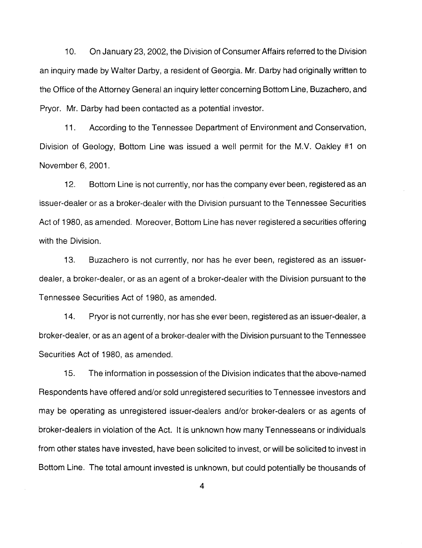1 0. On January 23, 2002, the Division of Consumer Affairs referred to the Division an inquiry made by Walter Darby, a resident of Georgia. Mr. Darby had originally written to the Office of the Attorney General an inquiry letter concerning Bottom Line, Buzachero, and Pryor. Mr. Darby had been contacted as a potential investor.

11. According to the Tennessee Department of Environment and Conservation, Division of Geology, Bottom Line was issued a well permit for the M.V. Oakley #1 on November 6, 2001.

12. Bottom Line is not currently, nor has the company ever been, registered as an issuer-dealer or as a broker-dealer with the Division pursuant to the Tennessee Securities Act of 1980, as amended. Moreover, Bottom Line has never registered a securities offering with the Division.

13. Buzachero is not currently, nor has he ever been, registered as an issuerdealer, a broker-dealer, or as an agent of a broker-dealer with the Division pursuant to the Tennessee Securities Act of 1980, as amended.

14. Pryor is not currently, nor has she ever been, registered as an issuer-dealer, a broker-dealer, or as an agent of a broker-dealer with the Division pursuant to the Tennessee Securities Act of 1980, as amended.

15. The information in possession of the Division indicates that the above-named Respondents have offered and/or sold unregistered securities to Tennessee investors and may be operating as unregistered issuer-dealers and/or broker-dealers or as agents of broker-dealers in violation of the Act. It is unknown how many Tennesseans or individuals from other states have invested, have been solicited to invest, or will be solicited to invest in Bottom Line. The total amount invested is unknown, but could potentially be thousands of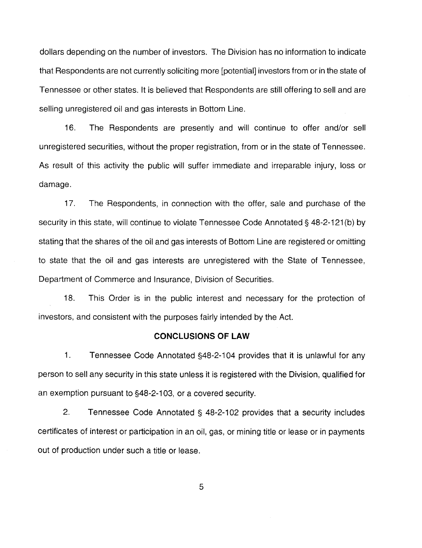dollars depending on the number of investors. The Division has no information to indicate that Respondents are not currently soliciting more [potential] investors from or in the state of Tennessee or other states. It is believed that Respondents are still offering to sell and are selling unregistered oil and gas interests in Bottom Line.

16. The Respondents are presently and will continue to offer and/or sell unregistered securities, without the proper registration, from or in the state of Tennessee. As result of this activity the public will suffer immediate and irreparable injury, loss or damage.

17. The Respondents, in connection with the offer, sale and purchase of the security in this state, will continue to violate Tennessee Code Annotated § 48-2-121(b) by stating that the shares of the oil and gas interests of Bottom Line are registered or omitting to state that the oil and gas interests are unregistered with the State of Tennessee, Department of Commerce and Insurance, Division of Securities.

18. This Order is in the public interest and necessary for the protection of investors, and consistent with the purposes fairly intended by the Act.

#### **CONCLUSIONS OF LAW**

1. Tennessee Code Annotated §48-2-104 provides that it is unlawful for any person to sell any security in this state unless it is registered with the Division, qualified for an exemption pursuant to §48-2-1 03, or a covered security.

2. Tennessee Code Annotated § 48-2-102 provides that a security includes certificates of interest or participation in an oil, gas, or mining title or lease or in payments out of production under such a title or lease.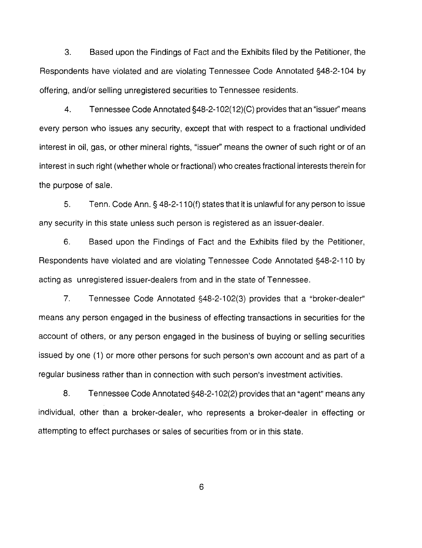3. Based upon the Findings of Fact and the Exhibits filed by the Petitioner, the Respondents have violated and are violating Tennessee Code Annotated §48-2-104 by offering, and/or selling unregistered securities to Tennessee residents.

4. Tennessee Code Annotated §48-2-1 02(12)(C) provides that an "issuer'' means every person who issues any security, except that with respect to a fractional undivided interest in oil, gas, or other mineral rights, "issuer" means the owner of such right or of an interest in such right (whether whole or fractional) who creates fractional interests therein for the purpose of sale.

5. Tenn. Code Ann.§ 48-2-11 O(f) states that it is unlawful for any person to issue any security in this state unless such person is registered as an issuer-dealer.

6. Based upon the Findings of Fact and the Exhibits filed by the Petitioner, Respondents have violated and are violating Tennessee Code Annotated §48-2-110 by acting as unregistered issuer-dealers from and in the state of Tennessee.

7. Tennessee Code Annotated §48-2-102(3) provides that a "broker-dealer" means any person engaged in the business of effecting transactions in securities for the account of others, or any person engaged in the business of buying or selling securities issued by one (1) or more other persons for such person's own account and as part of a regular business rather than in connection with such person's investment activities.

8. Tennessee Code Annotated §48-2-1 02(2) provides that an "agent" means any individual, other than a broker-dealer, who represents a broker-dealer in effecting or attempting to effect purchases or sales of securities from or in this state.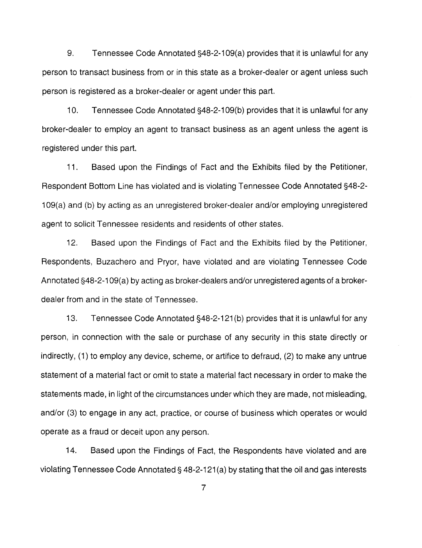9. Tennessee Code Annotated §48-2-109(a) provides that it is unlawful for any person to transact business from or in this state as a broker-dealer or agent unless such person is registered as a broker-dealer or agent under this part.

10. Tennessee Code Annotated §48-2-1 09(b) provides that it is unlawful for any broker-dealer to employ an agent to transact business as an agent unless the agent is registered under this part.

11. Based upon the Findings of Fact and the Exhibits filed by the Petitioner, Respondent Bottom Line has violated and is violating Tennessee Code Annotated §48-2- 1 09(a) and (b) by acting as an unregistered broker-dealer and/or employing unregistered agent to solicit Tennessee residents and residents of other states.

12. Based upon the Findings of Fact and the Exhibits filed by the Petitioner, Respondents, Buzachero and Pryor, have violated and are violating Tennessee Code Annotated §48-2-1 09(a) by acting as broker-dealers and/or unregistered agents of a brokerdealer from and in the state of Tennessee.

13. Tennessee Code Annotated §48-2-121 (b) provides that it is unlawful for any person, in connection with the sale or purchase of any security in this state directly or indirectly, (1) to employ any device, scheme, or artifice to defraud, (2) to make any untrue statement of a material fact or omit to state a material fact necessary in order to make the statements made, in light of the circumstances under which they are made, not misleading, and/or (3) to engage in any act, practice, or course of business which operates or would operate as a fraud or deceit upon any person.

14. Based upon the Findings of Fact, the Respondents have violated and are violating Tennessee Code Annotated§ 48-2-121 (a) by stating that the oil and gas interests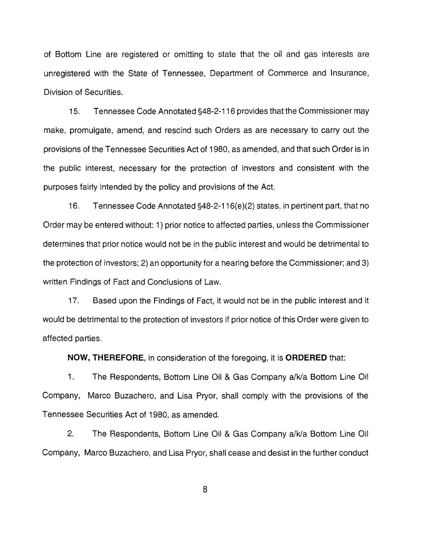of Bottom Line are registered or omitting to state that the oil and gas interests are unregistered with the State of Tennessee, Department of Commerce and Insurance, Division of Securities.

15. Tennessee Code Annotated §48-2-116 provides that the Commissioner may make, promulgate, amend, and rescind such Orders as are necessary to carry out the provisions of the Tennessee Securities Act of 1980, as amended, and that such Order is in the public interest, necessary for the protection of investors and consistent with the purposes fairly intended by the policy and provisions of the Act.

16. Tennessee Code Annotated §48-2-116(e)(2) states, in pertinent part, that no Order may be entered without: 1) prior notice to affected parties, unless the Commissioner determines that prior notice would not be in the public interest and would be detrimental to the protection of investors; 2) an opportunity for a hearing before the Commissioner; and 3) written Findings of Fact and Conclusions of Law.

17. Based upon the Findings of Fact, it would not be in the public interest and it would be detrimental to the protection of investors if prior notice of this Order were given to affected parties.

**NOW, THEREFORE,** in consideration of the foregoing, it is **ORDERED** that:

1. The Respondents, Bottom Line Oil & Gas Company a/k/a Bottom Line Oil Company, Marco Buzachero, and Lisa Pryor, shall comply with the provisions of the Tennessee Securities Act of 1980, as amended.

2. The Respondents, Bottom Line Oil & Gas Company a/k/a Bottom Line Oil Company, Marco Buzachero, and Lisa Pryor, shall cease and desist in the further conduct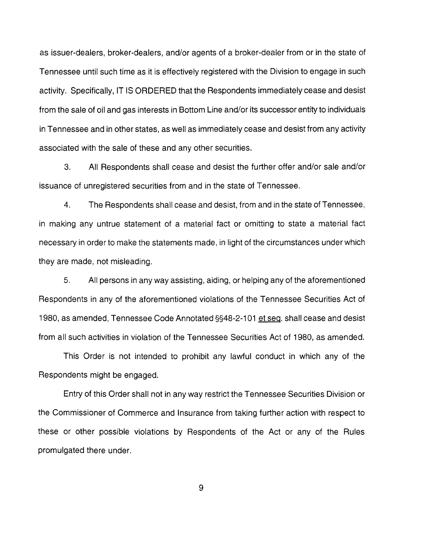as issuer-dealers, broker-dealers, and/or agents of a broker-dealer from or in the state of Tennessee until such time as it is effectively registered with the Division to engage in such activity. Specifically, IT IS ORDERED that the Respondents immediately cease and desist from the sale of oil and gas interests in Bottom Line and/or its successor entity to individuals in Tennessee and in other states, as well as immediately cease and desist from any activity associated with the sale of these and any other securities.

3. All Respondents shall cease and desist the further offer and/or sale and/or issuance of unregistered securities from and in the state of Tennessee.

4. The Respondents shall cease and desist, from and in the state of Tennessee, in making any untrue statement of a material fact or omitting to state a material fact necessary in order to make the statements made, in light of the circumstances under which they are made, not misleading.

5. All persons in any way assisting, aiding, or helping any of the aforementioned Respondents in any of the aforementioned violations of the Tennessee Securities Act of 1980, as amended, Tennessee Code Annotated §§48-2-1 01 et seq. shall cease and desist from all such activities in violation of the Tennessee Securities Act of 1980, as amended.

This Order is not intended to prohibit any lawful conduct in which any of the Respondents might be engaged.

Entry of this Order shall not in any way restrict the Tennessee Securities Division or the Commissioner of Commerce and Insurance from taking further action with respect to these or other possible violations by Respondents of the Act or any of the Rules promulgated there under.